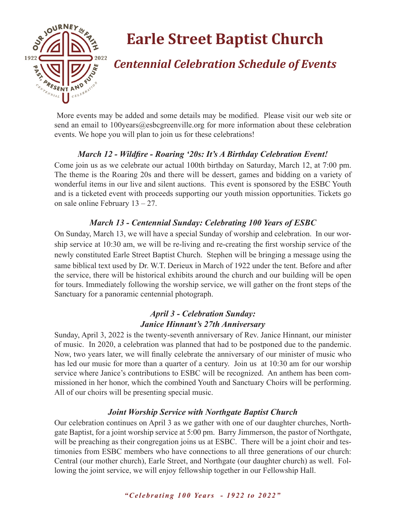

# **Earle Street Baptist Church**

# *Centennial Celebration Schedule of Events*

 More events may be added and some details may be modified. Please visit our web site or send an email to 100years@esbcgreenville.org for more information about these celebration events. We hope you will plan to join us for these celebrations!

# *March 12 - Wildfire - Roaring '20s: It's A Birthday Celebration Event!*

Come join us as we celebrate our actual 100th birthday on Saturday, March 12, at 7:00 pm. The theme is the Roaring 20s and there will be dessert, games and bidding on a variety of wonderful items in our live and silent auctions. This event is sponsored by the ESBC Youth and is a ticketed event with proceeds supporting our youth mission opportunities. Tickets go on sale online February 13 – 27.

## *March 13 - Centennial Sunday: Celebrating 100 Years of ESBC*

On Sunday, March 13, we will have a special Sunday of worship and celebration. In our worship service at 10:30 am, we will be re-living and re-creating the first worship service of the newly constituted Earle Street Baptist Church. Stephen will be bringing a message using the same biblical text used by Dr. W.T. Derieux in March of 1922 under the tent. Before and after the service, there will be historical exhibits around the church and our building will be open for tours. Immediately following the worship service, we will gather on the front steps of the Sanctuary for a panoramic centennial photograph.

# *April 3 - Celebration Sunday: Janice Hinnant's 27th Anniversary*

Sunday, April 3, 2022 is the twenty-seventh anniversary of Rev. Janice Hinnant, our minister of music. In 2020, a celebration was planned that had to be postponed due to the pandemic. Now, two years later, we will finally celebrate the anniversary of our minister of music who has led our music for more than a quarter of a century. Join us at 10:30 am for our worship service where Janice's contributions to ESBC will be recognized. An anthem has been commissioned in her honor, which the combined Youth and Sanctuary Choirs will be performing. All of our choirs will be presenting special music.

## *Joint Worship Service with Northgate Baptist Church*

Our celebration continues on April 3 as we gather with one of our daughter churches, Northgate Baptist, for a joint worship service at 5:00 pm. Barry Jimmerson, the pastor of Northgate, will be preaching as their congregation joins us at ESBC. There will be a joint choir and testimonies from ESBC members who have connections to all three generations of our church: Central (our mother church), Earle Street, and Northgate (our daughter church) as well. Following the joint service, we will enjoy fellowship together in our Fellowship Hall.